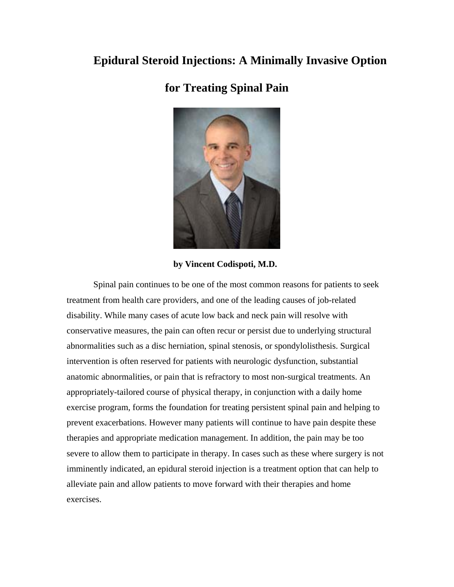## **Epidural Steroid Injections: A Minimally Invasive Option**

## **for Treating Spinal Pain**



**by Vincent Codispoti, M.D.**

Spinal pain continues to be one of the most common reasons for patients to seek treatment from health care providers, and one of the leading causes of job-related disability. While many cases of acute low back and neck pain will resolve with conservative measures, the pain can often recur or persist due to underlying structural abnormalities such as a disc herniation, spinal stenosis, or spondylolisthesis. Surgical intervention is often reserved for patients with neurologic dysfunction, substantial anatomic abnormalities, or pain that is refractory to most non-surgical treatments. An appropriately-tailored course of physical therapy, in conjunction with a daily home exercise program, forms the foundation for treating persistent spinal pain and helping to prevent exacerbations. However many patients will continue to have pain despite these therapies and appropriate medication management. In addition, the pain may be too severe to allow them to participate in therapy. In cases such as these where surgery is not imminently indicated, an epidural steroid injection is a treatment option that can help to alleviate pain and allow patients to move forward with their therapies and home exercises.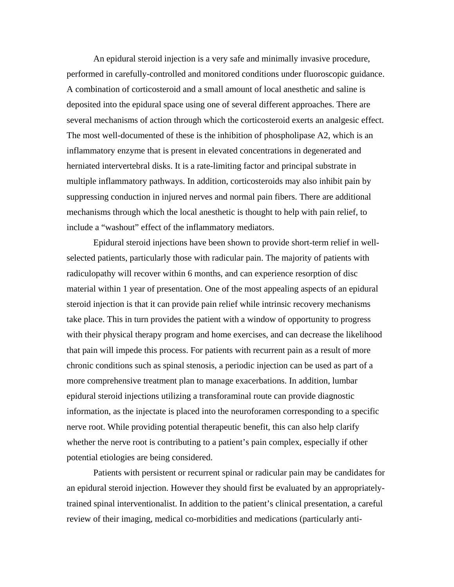An epidural steroid injection is a very safe and minimally invasive procedure, performed in carefully-controlled and monitored conditions under fluoroscopic guidance. A combination of corticosteroid and a small amount of local anesthetic and saline is deposited into the epidural space using one of several different approaches. There are several mechanisms of action through which the corticosteroid exerts an analgesic effect. The most well-documented of these is the inhibition of phospholipase A2, which is an inflammatory enzyme that is present in elevated concentrations in degenerated and herniated intervertebral disks. It is a rate-limiting factor and principal substrate in multiple inflammatory pathways. In addition, corticosteroids may also inhibit pain by suppressing conduction in injured nerves and normal pain fibers. There are additional mechanisms through which the local anesthetic is thought to help with pain relief, to include a "washout" effect of the inflammatory mediators.

Epidural steroid injections have been shown to provide short-term relief in wellselected patients, particularly those with radicular pain. The majority of patients with radiculopathy will recover within 6 months, and can experience resorption of disc material within 1 year of presentation. One of the most appealing aspects of an epidural steroid injection is that it can provide pain relief while intrinsic recovery mechanisms take place. This in turn provides the patient with a window of opportunity to progress with their physical therapy program and home exercises, and can decrease the likelihood that pain will impede this process. For patients with recurrent pain as a result of more chronic conditions such as spinal stenosis, a periodic injection can be used as part of a more comprehensive treatment plan to manage exacerbations. In addition, lumbar epidural steroid injections utilizing a transforaminal route can provide diagnostic information, as the injectate is placed into the neuroforamen corresponding to a specific nerve root. While providing potential therapeutic benefit, this can also help clarify whether the nerve root is contributing to a patient's pain complex, especially if other potential etiologies are being considered.

Patients with persistent or recurrent spinal or radicular pain may be candidates for an epidural steroid injection. However they should first be evaluated by an appropriatelytrained spinal interventionalist. In addition to the patient's clinical presentation, a careful review of their imaging, medical co-morbidities and medications (particularly anti